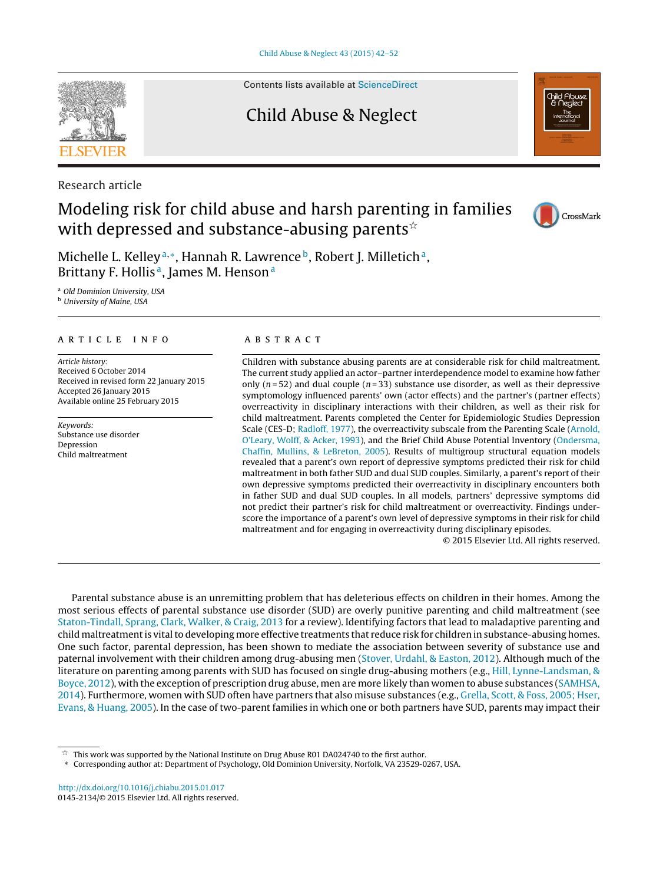Contents lists available at [ScienceDirect](http://www.sciencedirect.com/science/journal/01452134)

## Child Abuse & Neglect

Research article

## Modeling risk for child abuse and harsh parenting in families with depressed and substance-abusing parents $\mathbb{\hat{z}}$

Michelle L. Kelley<sup>a,\*</sup>, Hannah R. Lawrence<sup>b</sup>, Robert J. Milletich<sup>a</sup>, Brittany F. Hollis<sup>a</sup>, James M. Henson<sup>a</sup>

<sup>a</sup> Old Dominion University, USA **b** University of Maine, USA

#### a r t i c l e i n f o

Article history: Received 6 October 2014 Received in revised form 22 January 2015 Accepted 26 January 2015 Available online 25 February 2015

Keywords: Substance use disorder Depression Child maltreatment

### a b s t r a c t

Children with substance abusing parents are at considerable risk for child maltreatment. The current study applied an actor–partner interdependence model to examine how father only ( $n = 52$ ) and dual couple ( $n = 33$ ) substance use disorder, as well as their depressive symptomology influenced parents' own (actor effects) and the partner's (partner effects) overreactivity in disciplinary interactions with their children, as well as their risk for child maltreatment. Parents completed the Center for Epidemiologic Studies Depression Scale (CES-D; [Radloff,](#page--1-0) [1977\),](#page--1-0) the overreactivity subscale from the Parenting Scale [\(Arnold,](#page--1-0) [O'Leary,](#page--1-0) [Wolff,](#page--1-0) [&](#page--1-0) [Acker,](#page--1-0) [1993\),](#page--1-0) and the Brief Child Abuse Potential Inventory [\(Ondersma,](#page--1-0) [Chaffin,](#page--1-0) [Mullins,](#page--1-0) [&](#page--1-0) [LeBreton,](#page--1-0) [2005\).](#page--1-0) Results of multigroup structural equation models revealed that a parent's own report of depressive symptoms predicted their risk for child maltreatment in both father SUD and dual SUD couples. Similarly, a parent's report of their own depressive symptoms predicted their overreactivity in disciplinary encounters both in father SUD and dual SUD couples. In all models, partners' depressive symptoms did not predict their partner's risk for child maltreatment or overreactivity. Findings underscore the importance of a parent's own level of depressive symptoms in their risk for child maltreatment and for engaging in overreactivity during disciplinary episodes.

© 2015 Elsevier Ltd. All rights reserved.

Parental substance abuse is an unremitting problem that has deleterious effects on children in their homes. Among the most serious effects of parental substance use disorder (SUD) are overly punitive parenting and child maltreatment (see [Staton-Tindall,](#page--1-0) [Sprang,](#page--1-0) [Clark,](#page--1-0) [Walker,](#page--1-0) [&](#page--1-0) [Craig,](#page--1-0) [2013](#page--1-0) for a review). Identifying factors that lead to maladaptive parenting and child maltreatment is vital to developing more effective treatments that reduce risk for children in substance-abusing homes. One such factor, parental depression, has been shown to mediate the association between severity of substance use and paternal involvement with their children among drug-abusing men ([Stover,](#page--1-0) [Urdahl,](#page--1-0) [&](#page--1-0) [Easton,](#page--1-0) [2012\).](#page--1-0) Although much of the literature on parenting among parents with SUD has focused on single drug-abusing mothers (e.g., [Hill,](#page--1-0) [Lynne-Landsman,](#page--1-0) [&](#page--1-0) [Boyce,](#page--1-0) [2012\),](#page--1-0) with the exception of prescription drug abuse, men are more likely than women to abuse substances ([SAMHSA,](#page--1-0) [2014\).](#page--1-0) Furthermore, women with SUD often have partners that also misuse substances (e.g., [Grella,](#page--1-0) [Scott,](#page--1-0) [&](#page--1-0) [Foss,](#page--1-0) [2005;](#page--1-0) [Hser,](#page--1-0) [Evans,](#page--1-0) [&](#page--1-0) [Huang,](#page--1-0) [2005\).](#page--1-0) In the case of two-parent families in which one or both partners have SUD, parents may impact their







<sup>-</sup>This work was supported by the National Institute on Drug Abuse R01 DA024740 to the first author.

<sup>∗</sup> Corresponding author at: Department of Psychology, Old Dominion University, Norfolk, VA 23529-0267, USA.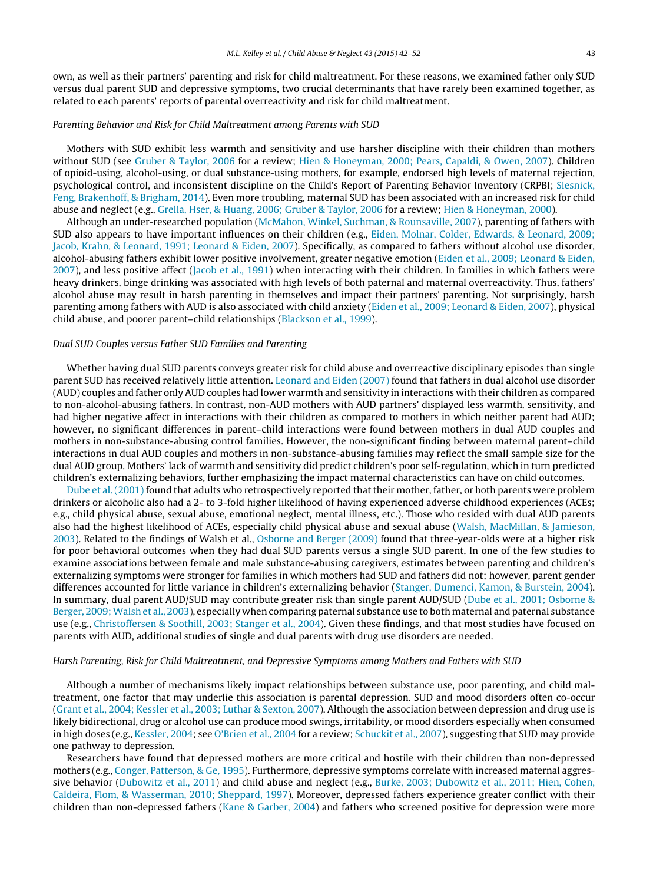own, as well as their partners' parenting and risk for child maltreatment. For these reasons, we examined father only SUD versus dual parent SUD and depressive symptoms, two crucial determinants that have rarely been examined together, as related to each parents' reports of parental overreactivity and risk for child maltreatment.

#### Parenting Behavior and Risk for Child Maltreatment among Parents with SUD

Mothers with SUD exhibit less warmth and sensitivity and use harsher discipline with their children than mothers without SUD (see [Gruber](#page--1-0) [&](#page--1-0) [Taylor,](#page--1-0) [2006](#page--1-0) for a review; [Hien](#page--1-0) [&](#page--1-0) [Honeyman,](#page--1-0) [2000;](#page--1-0) [Pears,](#page--1-0) [Capaldi,](#page--1-0) [&](#page--1-0) [Owen,](#page--1-0) [2007\).](#page--1-0) Children of opioid-using, alcohol-using, or dual substance-using mothers, for example, endorsed high levels of maternal rejection, psychological control, and inconsistent discipline on the Child's Report of Parenting Behavior Inventory (CRPBI; [Slesnick,](#page--1-0) [Feng,](#page--1-0) [Brakenhoff,](#page--1-0) [&](#page--1-0) [Brigham,](#page--1-0) [2014\).](#page--1-0) Even more troubling, maternal SUD has been associated with an increased risk for child abuse and neglect (e.g., [Grella,](#page--1-0) [Hser,](#page--1-0) [&](#page--1-0) [Huang,](#page--1-0) [2006;](#page--1-0) [Gruber](#page--1-0) [&](#page--1-0) [Taylor,](#page--1-0) [2006](#page--1-0) for a review; [Hien](#page--1-0) [&](#page--1-0) [Honeyman,](#page--1-0) [2000\).](#page--1-0)

Although an under-researched population ([McMahon,](#page--1-0) [Winkel,](#page--1-0) [Suchman,](#page--1-0) [&](#page--1-0) [Rounsaville,](#page--1-0) [2007\),](#page--1-0) parenting of fathers with SUD also appears to have important influences on their children (e.g., [Eiden,](#page--1-0) [Molnar,](#page--1-0) [Colder,](#page--1-0) [Edwards,](#page--1-0) [&](#page--1-0) [Leonard,](#page--1-0) [2009;](#page--1-0) [Jacob,](#page--1-0) [Krahn,](#page--1-0) [&](#page--1-0) [Leonard,](#page--1-0) [1991;](#page--1-0) [Leonard](#page--1-0) [&](#page--1-0) [Eiden,](#page--1-0) [2007\).](#page--1-0) Specifically, as compared to fathers without alcohol use disorder, alcohol-abusing fathers exhibit lower positive involvement, greater negative emotion [\(Eiden](#page--1-0) et [al.,](#page--1-0) [2009;](#page--1-0) [Leonard](#page--1-0) [&](#page--1-0) [Eiden,](#page--1-0) [2007\),](#page--1-0) and less positive affect [\(Jacob](#page--1-0) et [al.,](#page--1-0) [1991\)](#page--1-0) when interacting with their children. In families in which fathers were heavy drinkers, binge drinking was associated with high levels of both paternal and maternal overreactivity. Thus, fathers' alcohol abuse may result in harsh parenting in themselves and impact their partners' parenting. Not surprisingly, harsh parenting among fathers with AUD is also associated with child anxiety [\(Eiden](#page--1-0) et [al.,](#page--1-0) [2009;](#page--1-0) [Leonard](#page--1-0) [&](#page--1-0) [Eiden,](#page--1-0) [2007\),](#page--1-0) physical child abuse, and poorer parent–child relationships ([Blackson](#page--1-0) et [al.,](#page--1-0) [1999\).](#page--1-0)

#### Dual SUD Couples versus Father SUD Families and Parenting

Whether having dual SUD parents conveys greater risk for child abuse and overreactive disciplinary episodes than single parent SUD has received relatively little attention. [Leonard](#page--1-0) [and](#page--1-0) [Eiden](#page--1-0) [\(2007\)](#page--1-0) found that fathers in dual alcohol use disorder (AUD) couples and father only AUD couples had lower warmth and sensitivity in interactions with their children as compared to non-alcohol-abusing fathers. In contrast, non-AUD mothers with AUD partners' displayed less warmth, sensitivity, and had higher negative affect in interactions with their children as compared to mothers in which neither parent had AUD; however, no significant differences in parent–child interactions were found between mothers in dual AUD couples and mothers in non-substance-abusing control families. However, the non-significant finding between maternal parent–child interactions in dual AUD couples and mothers in non-substance-abusing families may reflect the small sample size for the dual AUD group. Mothers' lack of warmth and sensitivity did predict children's poor self-regulation, which in turn predicted children's externalizing behaviors, further emphasizing the impact maternal characteristics can have on child outcomes.

[Dube](#page--1-0) et [al.](#page--1-0) [\(2001\)](#page--1-0) found that adults who retrospectively reported that their mother, father, or both parents were problem drinkers or alcoholic also had a 2- to 3-fold higher likelihood of having experienced adverse childhood experiences (ACEs; e.g., child physical abuse, sexual abuse, emotional neglect, mental illness, etc.). Those who resided with dual AUD parents also had the highest likelihood of ACEs, especially child physical abuse and sexual abuse [\(Walsh,](#page--1-0) [MacMillan,](#page--1-0) [&](#page--1-0) [Jamieson,](#page--1-0) [2003\).](#page--1-0) Related to the findings of Walsh et al., [Osborne](#page--1-0) [and](#page--1-0) [Berger](#page--1-0) [\(2009\)](#page--1-0) found that three-year-olds were at a higher risk for poor behavioral outcomes when they had dual SUD parents versus a single SUD parent. In one of the few studies to examine associations between female and male substance-abusing caregivers, estimates between parenting and children's externalizing symptoms were stronger for families in which mothers had SUD and fathers did not; however, parent gender differences accounted for little variance in children's externalizing behavior ([Stanger,](#page--1-0) [Dumenci,](#page--1-0) [Kamon,](#page--1-0) [&](#page--1-0) [Burstein,](#page--1-0) [2004\).](#page--1-0) In summary, dual parent AUD/SUD may contribute greater risk than single parent AUD/SUD ([Dube](#page--1-0) et [al.,](#page--1-0) [2001;](#page--1-0) [Osborne](#page--1-0) [&](#page--1-0) [Berger,](#page--1-0) [2009;Walsh](#page--1-0) et [al.,](#page--1-0) [2003\),](#page--1-0) especially when comparing paternal substance use to both maternal and paternal substance use (e.g., [Christoffersen](#page--1-0) [&](#page--1-0) [Soothill,](#page--1-0) [2003;](#page--1-0) [Stanger](#page--1-0) et [al.,](#page--1-0) [2004\).](#page--1-0) Given these findings, and that most studies have focused on parents with AUD, additional studies of single and dual parents with drug use disorders are needed.

#### Harsh Parenting, Risk for Child Maltreatment, and Depressive Symptoms among Mothers and Fathers with SUD

Although a number of mechanisms likely impact relationships between substance use, poor parenting, and child maltreatment, one factor that may underlie this association is parental depression. SUD and mood disorders often co-occur [\(Grant](#page--1-0) et [al.,](#page--1-0) [2004;](#page--1-0) [Kessler](#page--1-0) et [al.,](#page--1-0) [2003;](#page--1-0) [Luthar](#page--1-0) [&](#page--1-0) [Sexton,](#page--1-0) [2007\).](#page--1-0) Although the association between depression and drug use is likely bidirectional, drug or alcohol use can produce mood swings, irritability, or mood disorders especially when consumed in high doses (e.g., [Kessler,](#page--1-0) [2004;](#page--1-0) see [O'Brien](#page--1-0) et [al.,](#page--1-0) [2004](#page--1-0) for a review; [Schuckit](#page--1-0) et al., [2007\),](#page--1-0) suggesting that SUD may provide one pathway to depression.

Researchers have found that depressed mothers are more critical and hostile with their children than non-depressed mothers (e.g., [Conger,](#page--1-0) [Patterson,](#page--1-0) [&](#page--1-0) [Ge,](#page--1-0) [1995\).](#page--1-0) Furthermore, depressive symptoms correlate with increased maternal aggres-sive behavior [\(Dubowitz](#page--1-0) et [al.,](#page--1-0) [2011\)](#page--1-0) and child abuse and neglect (e.g., [Burke,](#page--1-0) [2003;](#page--1-0) [Dubowitz](#page--1-0) et al., [2011;](#page--1-0) [Hien,](#page--1-0) [Cohen,](#page--1-0) [Caldeira,](#page--1-0) [Flom,](#page--1-0) [&](#page--1-0) [Wasserman,](#page--1-0) [2010;](#page--1-0) [Sheppard,](#page--1-0) [1997\).](#page--1-0) Moreover, depressed fathers experience greater conflict with their children than non-depressed fathers ([Kane](#page--1-0) [&](#page--1-0) [Garber,](#page--1-0) [2004\)](#page--1-0) and fathers who screened positive for depression were more